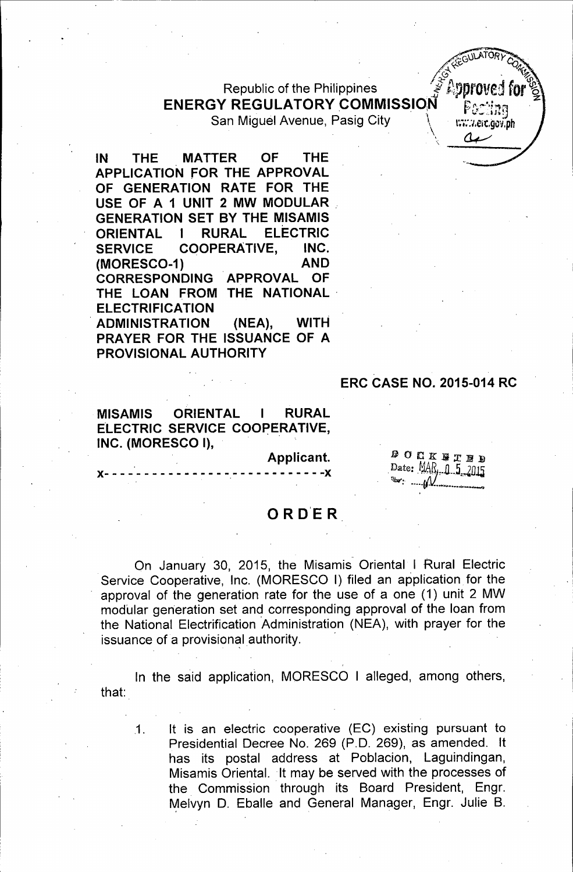Republic of the Philippines .· f.f.;.pprOtted for\ ENERGY REGULATORY COMMISSION San Miguel Avenue, Pasig City.

-----------------------------------------------------



IN THE MATTER OF THE APPLICATION FOR THE APPROVAL OF GENERATION RATE FOR THE USE OF A 1 UNIT 2 MW MODULAR GENERATION SET BY THE MISAMIS ORIENTAL I RURAL ELECTRIC SERVICE COOPERATIVE, INC. (MORESC0-1) AND CORRESPONDING APPROVAL OF THE LOAN FROM THE NATIONAL ELECTRIFICATION . ADMINISTRATION (NEA), WITH PRAYER FOR THE ISSUANCE OF A PROVISIONAL AUTHORITY

MISAMIS ORIENTAL I RURAL ELECTRIC SERVICE COOPERATIVE, INC. (MORESCO 1),

> Applicant. )(--------------- -.----------- -)(

**DOCKBTBD** Date: MAR, 0 5 2015

 $\cdot$  i

ERC CASE NO. 2015-014 RC

# 0 R D'E R

On January 30, 2015, the Misamis Oriental I Rural Electric Service Cooperative, Inc. (MORESCO I) filed an application for the approval of the generation rate for the use of a one (1) unit 2 MW modular generation set and corresponding approval of the loan from the National Electrification Administration (NEA), with prayer for the issuance of a provisional authority.

that: In the said application, MORESCO I alleged, among others,

.1. It is an electric cooperative (EC) existing pursuant to Presidential Decree No. 269 (P.O. 269), as amended. It has its postal address at Poblacion, Laguindingan, Misamis Oriental. It may be served with the processes of the Commission through its Board President, Engr. Melvyn D. Eballe and General Manager, Engr. Julie B.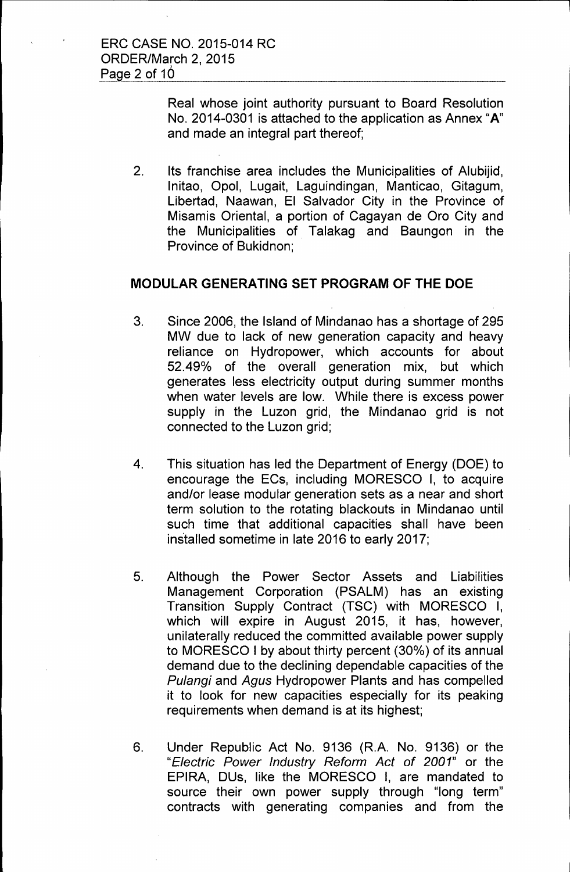Real whose joint authority pursuant to Board Resolution No. 2014-0301 is attached to the application as Annex **"A"**  and made an integral part thereof;

2. Its franchise area includes the Municipalities of Alubijid, lnitao, Opel, Lugait, Laguindingan, Manticao, Gitagum, Libertad, Naawan, El Salvador City in the Province of Misamis Oriental, a portion of Cagayan de Oro City and the Municipalities of Talakag and Baungon in the Province of Bukidnon;

## **MODULAR GENERATING SET PROGRAM OF THE DOE**

- 3. Since 2006, the Island of Mindanao has a shortage of 295 MW due to lack of new generation capacity and heavy reliance on Hydropower, which accounts for about 52.49% of the overall generation mix, but which generates less electricity output during summer months when water levels are low. While there is excess power supply in the Luzon grid, the Mindanao grid is not connected to the Luzon grid;
- 4. This situation has led the Department of Energy (DOE) to encourage the ECs, including MORESCO I, to acquire and/or lease modular generation sets as a near and short term solution to the rotating blackouts in Mindanao until such time that additional capacities shall have been installed sometime in late 2016 to early 2017;
- 5. Although the Power Sector Assets and Liabilities Management Corporation (PSALM) has an existing Transition Supply Contract (TSC) with MORESCO I, which will expire in August 2015, it has, however, unilaterally reduced the committed available power supply to MORESCO I by about thirty percent (30%) of its annual demand due to the declining dependable capacities of the Pulangi and Agus Hydropower Plants and has compelled it to look for new capacities especially for its peaking requirements when demand is at its highest;
- 6. Under Republic Act No. 9136 (R.A. No. 9136) or the "Electric Power Industry Reform Act of 2001" or the EPIRA, DUs, like the MORESCO I, are mandated to source their own power supply through "long term" contracts with generating companies and from the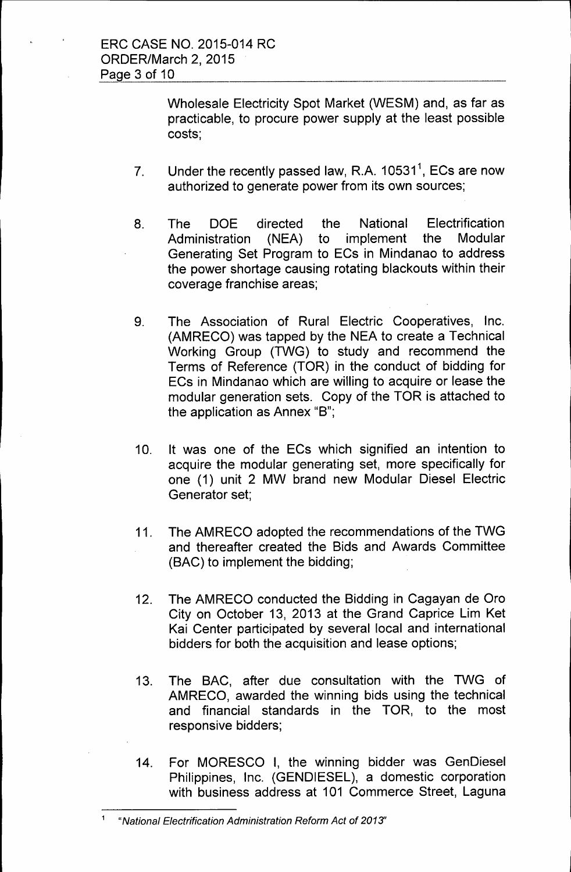Wholesale Electricity Spot Market (WESM) and, as far as practicable, to procure power supply at the least possible costs;

- 7. Under the recently passed law, R.A. 10531<sup>1</sup>, ECs are now authorized to generate power from its own sources;
- 8. The DOE directed the National Electrification Administration (NEA) to implement the Modular Generating Set Program to ECs in Mindanao to address the power shortage causing rotating blackouts within their coverage franchise areas;
- 9. The Association of Rural Electric Cooperatives, Inc. (AMRECO) was tapped by the NEA to create a Technical Working Group (TWG) to study and recommend the Terms of Reference (TOR) in the conduct of bidding for ECs in Mindanao which are willing to acquire or lease the modular generation sets. Copy of the TOR is attached to the application as Annex "B";
- 10. It was one of the ECs which signified an intention to acquire the modular generating set, more specifically for one (1) unit 2 MW brand new Modular Diesel Electric Generator set;
- 11. The AMRECO adopted the recommendations of the TWG and thereafter created the Bids and Awards Committee (BAC) to implement the bidding;
- 12. The AMRECO conducted the Bidding in Cagayan de Oro City on October 13, 2013 at the Grand Caprice Lim Ket Kai Center participated by several local and international bidders for both the acquisition and lease options;
- 13. The BAC, after due consultation with the TWG of AMRECO, awarded the winning bids using the technical and financial standards in the TOR, to the most responsive bidders;
- 14. For MORESCO I, the winning bidder was GenDiesel Philippines, Inc. (GENDIESEL), a domestic corporation with business address at 101 Commerce Street, Laguna

<sup>1</sup> "National Electrification Administration Reform Act of 2013'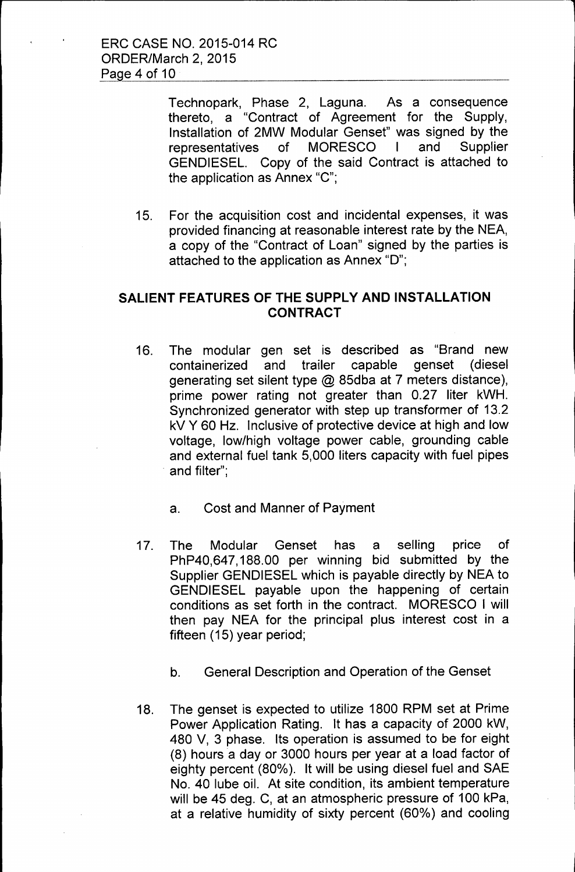Technopark, Phase 2, Laguna. As a consequence thereto, a "Contract of Agreement for the Supply, Installation of 2MW Modular Genset" was signed by the representatives of MORESCO I and Supplier GENDIESEL. Copy of the said Contract is attached to the application as Annex "C";

15. For the acquisition cost and incidental expenses, it was provided financing at reasonable interest rate by the NEA, a copy of the "Contract of Loan" signed by the parties is attached to the application as Annex "D";

## **SALIENT FEATURES OF THE SUPPLY AND INSTALLATION CONTRACT**

- 16. The modular gen set is described as "Brand new containerized and trailer capable genset (diesel generating set silent type @ 85dba at 7 meters distance), prime power rating not greater than 0.27 liter kWH. Synchronized generator with step up transformer of 13.2 kV Y 60 Hz. Inclusive of protective device at high and low voltage, low/high voltage power cable, grounding cable and external fuel tank 5,000 liters capacity with fuel pipes and filter";
	- a. Cost and Manner of Payment
- 17. The Modular Genset has a selling price of PhP40,647, 188.00 per winning bid submitted by the Supplier GENDIESEL which is payable directly by NEA to GENDIESEL payable upon the happening of certain conditions as set forth in the contract. MORESCO I will then pay NEA for the principal plus interest cost in a fifteen (15) year period;
	- b. General Description and Operation of the Genset
- 18. The genset is expected to utilize 1800 RPM set at Prime Power Application Rating. It has a capacity of 2000 kW, 480 V, 3 phase. Its operation is assumed to be for eight (8) hours a day or 3000 hours per year at a load factor of eighty percent (80%). It will be using diesel fuel and SAE No. 40 lube oil. At site condition, its ambient temperature will be 45 deg. C, at an atmospheric pressure of 100 kPa, at a relative humidity of sixty percent (60%) and cooling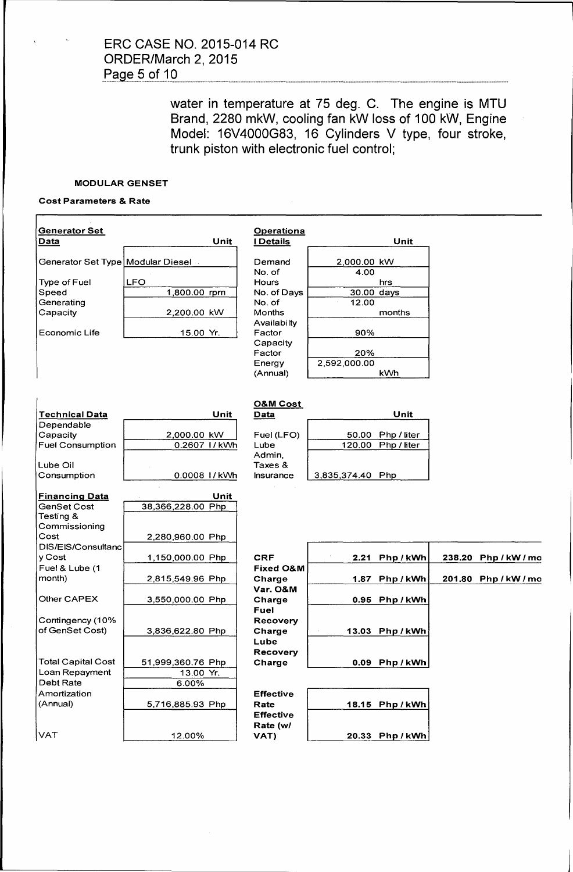ERC CASE NO. 2015-014 RC ORDER/March 2, 2015 Page 5 of 10

> water in temperature at 75 deg. C. The engine is MTU Brand, 2280 mkW, cooling fan kW loss of 100 kW, Engine Model: 16V4000G83, 16 Cylinders V type, four stroke, trunk piston with electronic fuel control;

#### MODULAR GENSET

### Cost Parameters & Rate

| <b>Generator Set</b><br>Data        | Unit              | <b>Operationa</b><br><b>I</b> Details |                     | Unit            |                      |
|-------------------------------------|-------------------|---------------------------------------|---------------------|-----------------|----------------------|
| Generator Set Type   Modular Diesel |                   | Demand                                | 2,000.00 kW         |                 |                      |
|                                     |                   | No. of                                | 4.00                |                 |                      |
| Type of Fuel                        | <b>LFO</b>        | <b>Hours</b>                          |                     | hrs             |                      |
| Speed                               | 1,800.00 rpm      | No. of Days                           | 30.00 days          |                 |                      |
| Generating                          |                   | No. of                                | 12.00               |                 |                      |
| Capacity                            | 2,200.00 kW       | <b>Months</b>                         |                     | months          |                      |
|                                     |                   | Availabilty                           |                     |                 |                      |
| <b>Economic Life</b>                | 15.00 Yr.         | Factor                                | 90%                 |                 |                      |
|                                     |                   | Capacity                              |                     |                 |                      |
|                                     |                   | Factor<br>Energy                      | 20%<br>2,592,000.00 |                 |                      |
|                                     |                   | (Annual)                              | <b>kWh</b>          |                 |                      |
|                                     |                   |                                       |                     |                 |                      |
|                                     |                   |                                       |                     |                 |                      |
|                                     |                   | <b>O&amp;M Cost</b>                   |                     |                 |                      |
| <b>Technical Data</b>               | Unit              | Data                                  |                     | Unit            |                      |
| Dependable                          |                   |                                       |                     |                 |                      |
| Capacity                            | 2,000.00 kW       | Fuel (LFO)                            | 50.00               | Php / liter     |                      |
| <b>Fuel Consumption</b>             | 0.2607 1/kWh      | Lube                                  | 120.00              | Php / liter     |                      |
|                                     |                   | Admin.                                |                     |                 |                      |
| Lube Oil                            |                   | Taxes &                               |                     |                 |                      |
| Consumption                         | 0.0008 1/kWh      | Insurance                             | 3,835,374.40 Php    |                 |                      |
| <b>Financing Data</b>               | Unit              |                                       |                     |                 |                      |
| GenSet Cost                         | 38,366,228.00 Php |                                       |                     |                 |                      |
| Testing &                           |                   |                                       |                     |                 |                      |
| Commissioning                       |                   |                                       |                     |                 |                      |
| Cost                                | 2,280,960.00 Php  |                                       |                     |                 |                      |
| DIS/EIS/Consultanc                  |                   |                                       |                     |                 |                      |
| y Cost                              | 1,150,000.00 Php  | <b>CRF</b>                            | 2.21                | Php/kWh         | 238.20 Php / kW / mo |
| Fuel & Lube (1                      |                   | <b>Fixed O&amp;M</b>                  |                     |                 |                      |
| month)                              | 2,815,549.96 Php  | Charge                                | 1.87                | Php/kWh         | 201.80 Php / kW / mo |
|                                     |                   | Var. O&M                              |                     |                 |                      |
| Other CAPEX                         | 3,550,000.00 Php  | Charge                                |                     | 0.95 Php / kWh  |                      |
|                                     |                   | Fuel                                  |                     |                 |                      |
| Contingency (10%                    |                   | <b>Recovery</b>                       |                     |                 |                      |
| of GenSet Cost)                     | 3,836,622.80 Php  | Charge                                |                     | 13.03 Php/kWh   |                      |
|                                     |                   | Lube                                  |                     |                 |                      |
| <b>Total Capital Cost</b>           | 51,999,360.76 Php | <b>Recovery</b>                       |                     | 0.09 Php/kWh    |                      |
| Loan Repayment                      | 13.00 Yr.         | Charge                                |                     |                 |                      |
| Debt Rate                           | 6.00%             |                                       |                     |                 |                      |
| Amortization                        |                   | <b>Effective</b>                      |                     |                 |                      |
| (Annual)                            | 5,716,885.93 Php  | Rate                                  |                     | 18.15 Php / kWh |                      |
|                                     |                   | <b>Effective</b>                      |                     |                 |                      |
|                                     |                   | Rate (w/                              |                     |                 |                      |
| VAT                                 | 12.00%            | VAT)                                  |                     | 20.33 Php / kWh |                      |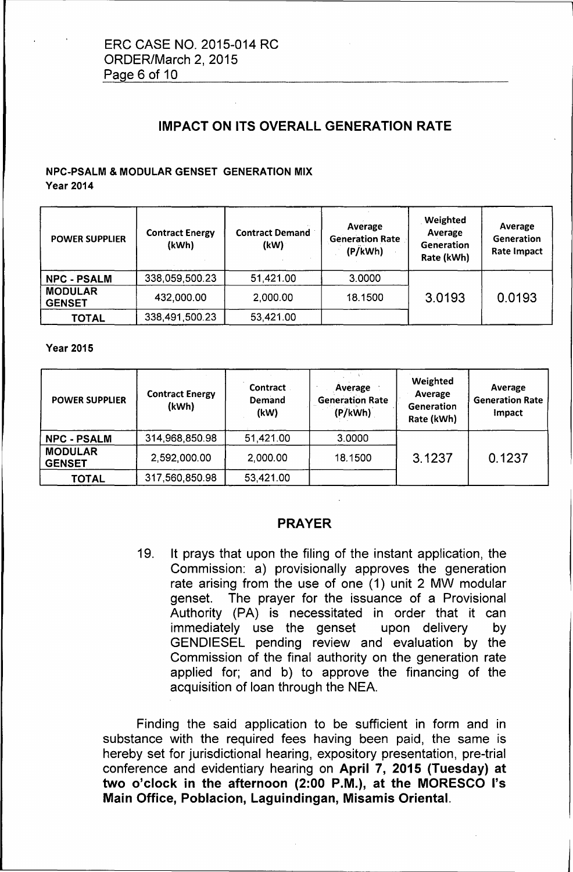# IMPACT ON ITS OVERALL GENERATION RATE

# NPC-PSALM & MODULAR GENSET GENERATION MIX

**Year 2014** 

| <b>POWER SUPPLIER</b>           | <b>Contract Energy</b><br>(kWh) | <b>Contract Demand</b><br>(kW) | Average<br><b>Generation Rate</b><br>(P/KWh) | Weighted<br>Average<br>Generation<br>Rate (kWh) | Average<br>Generation<br><b>Rate Impact</b> |
|---------------------------------|---------------------------------|--------------------------------|----------------------------------------------|-------------------------------------------------|---------------------------------------------|
| <b>NPC - PSALM</b>              | 338,059,500.23                  | 51,421.00                      | 3.0000                                       |                                                 |                                             |
| <b>MODULAR</b><br><b>GENSET</b> | 432,000.00                      | 2,000.00                       | 18.1500                                      | 3.0193                                          | 0.0193                                      |
| <b>TOTAL</b>                    | 338,491,500.23                  | 53,421.00                      |                                              |                                                 |                                             |

Year 2015

| <b>POWER SUPPLIER</b>           | <b>Contract Energy</b><br>(kWh) | <b>Contract</b><br>Demand<br>(kW) | Average<br><b>Generation Rate</b><br>(P/kWh) | Weighted<br>Average<br>Generation<br>Rate (kWh) | Average<br><b>Generation Rate</b><br>Impact |
|---------------------------------|---------------------------------|-----------------------------------|----------------------------------------------|-------------------------------------------------|---------------------------------------------|
| <b>NPC - PSALM</b>              | 314,968,850.98                  | 51,421.00                         | 3.0000                                       |                                                 |                                             |
| <b>MODULAR</b><br><b>GENSET</b> | 2,592,000.00                    | 2,000.00                          | 18.1500                                      | 3.1237                                          | 0.1237                                      |
| <b>TOTAL</b>                    | 317,560,850.98                  | 53,421.00                         |                                              |                                                 |                                             |

## PRAYER

19. It prays that upon the filing of the instant application, the Commission: a) provisionally approves the generation rate arising from the use of one (1) unit 2 MW modular genset. The prayer for the issuance of a Provisional Authority (PA) is necessitated in order that it can immediately use the genset upon delivery by GENDIESEL pending review and evaluation by the Commission of the final authority on the generation rate applied for; and b) to approve the financing of the acquisition of loan through the NEA.

Finding the said application to be sufficient in form and in substance with the required fees having been paid, the same is hereby set for jurisdictional hearing, expository presentation, pre-trial conference and evidentiary hearing on April 7, 2015 (Tuesday) at two o'clock in the afternoon (2:00 P.M.), at the MORESCO l's Main Office, Poblacion, Laguindingan, Misamis Oriental.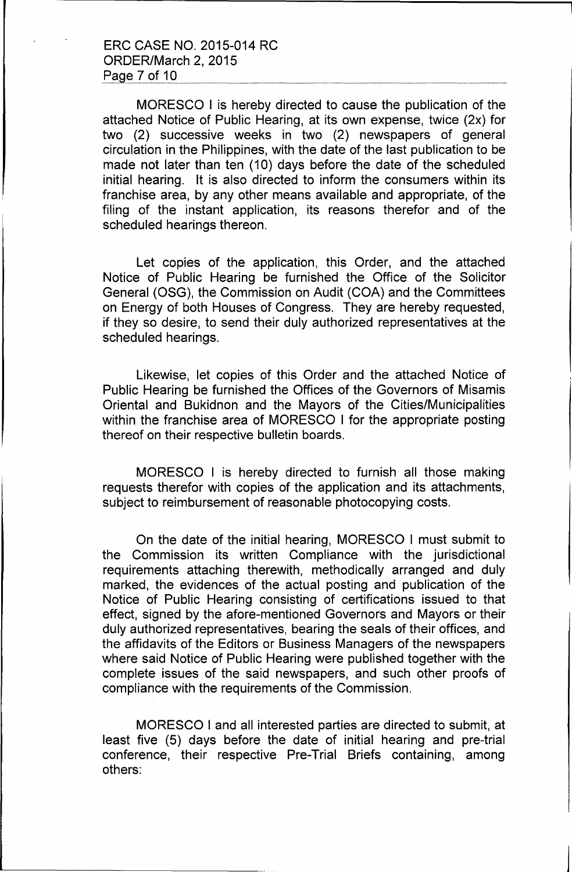MORESCO I is hereby directed to cause the publication of the attached Notice of Public Hearing, at its own expense, twice (2x) for two (2) successive weeks in two (2) newspapers of general circulation in the Philippines, with the date of the last publication to be made not later than ten (10) days before the date of the scheduled initial hearing. It is also directed to inform the consumers within its franchise area, by any other means available and appropriate, of the filing of the instant application, its reasons therefor and of the scheduled hearings thereon.

Let copies of the application, this Order, and the attached Notice of Public Hearing be furnished the Office of the Solicitor General (OSG), the Commission on Audit (COA) and the Committees on Energy of both Houses of Congress. They are hereby requested, if they so desire, to send their duly authorized representatives at the scheduled hearings.

Likewise, let copies of this Order and the attached Notice of Public Hearing be furnished the Offices of the Governors of Misamis Oriental and Bukidnon and the Mayors of the Cities/Municipalities within the franchise area of MORESCO I for the appropriate posting thereof on their respective bulletin boards.

MORESCO I is hereby directed to furnish all those making requests therefor with copies of the application and its attachments, subject to reimbursement of reasonable photocopying costs.

On the date of the initial hearing, MORESCO I must submit to the Commission its written Compliance with the jurisdictional requirements attaching therewith, methodically arranged and duly marked, the evidences of the actual posting and publication of the Notice of Public Hearing consisting of certifications issued to that effect, signed by the afore-mentioned Governors and Mayors or their duly authorized representatives, bearing the seals of their offices, and the affidavits of the Editors or Business Managers of the newspapers where said Notice of Public Hearing were published together with the complete issues of the said newspapers, and such other proofs of compliance with the requirements of the Commission.

MORESCO I and all interested parties are directed to submit, at least five (5) days before the date of initial hearing and pre-trial conference, their respective Pre-Trial Briefs containing, among others: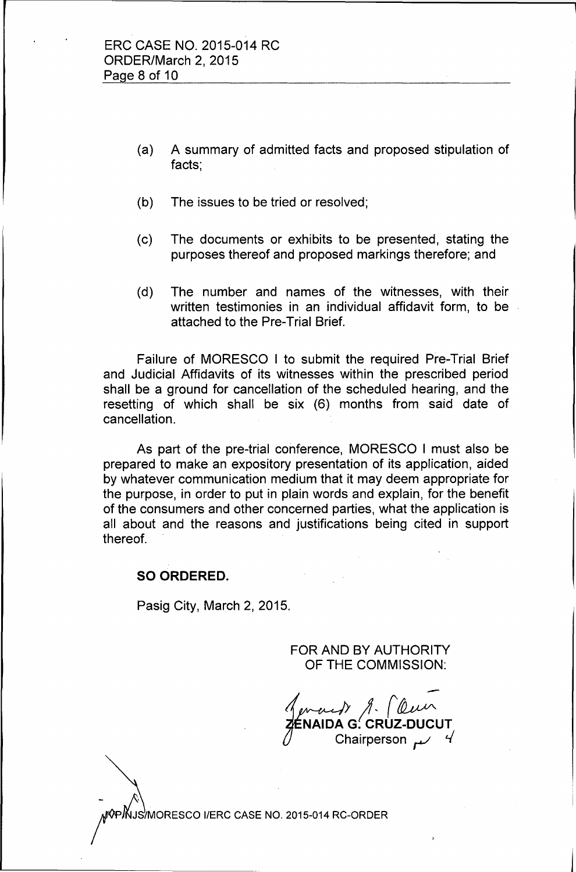- (a) A summary of admitted facts and proposed stipulation of facts;
- (b) The issues to be tried or resolved;
- (c) The documents or exhibits to be presented, stating the purposes thereof and proposed markings therefore; and
- (d) The number and names of the witnesses, with their written testimonies in an individual affidavit form, to be attached to the Pre-Trial Brief.

Failure of MORESCO I to submit the required Pre-Trial Brief and Judicial Affidavits of its witnesses within the prescribed period shall be a ground for cancellation of the scheduled hearing, and the resetting of which shall be six (6) months from said date of cancellation.

As part of the pre-trial conference, MORESCO I must also be prepared to make an expository presentation of its application, aided by whatever communication medium that it may deem appropriate for the purpose, in order to put in plain words and explain, for the benefit of the consumers and other concerned parties, what the application is all about and the reasons and justifications being cited in support thereof.

## **SO ORDERED.**

Pasig City, March 2, 2015.

FOR AND BY AUTHORITY OF THE COMMISSION:

for *the Maid Maid (leur*) Chairperson.

R/P/NJS/MORESCO I/ERC CASE NO. 2015-014 RC-ORDER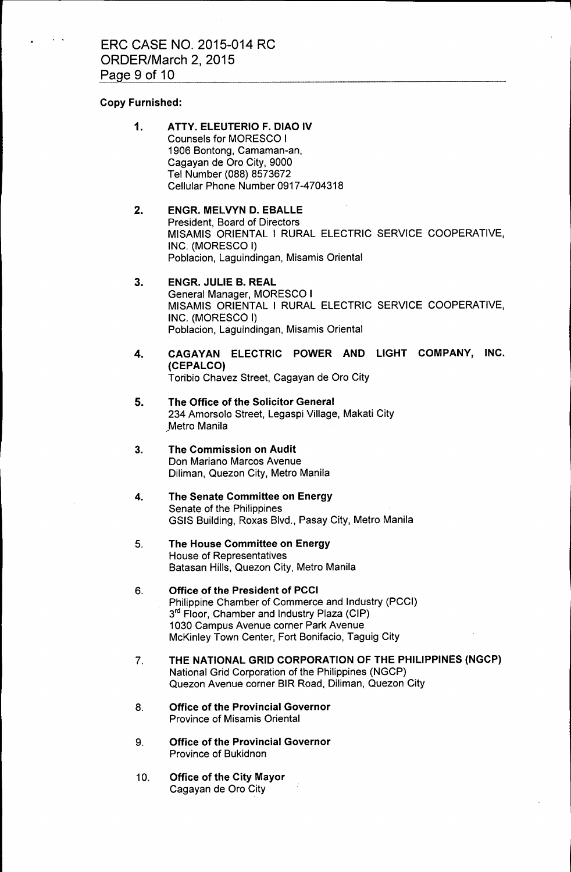### Copy Furnished:

- 1. ATTY. ELEUTERIO F. DIAO IV Counsels for MORESCO I 1906 Bentong, Camaman-an, Cagayan de Oro City, 9000 Tel Number (088) 8573672 Cellular Phone Number 0917-4704318
- 2. ENGR. MELVYN D. EBALLE President, Board of Directors MISAMIS ORIENTAL I RURAL ELECTRIC SERVICE COOPERATIVE, INC. (MORESCO I) Poblacion, Laguindingan, Misamis Oriental
- 3. ENGR. JULIE B. REAL General Manager, MORESCO I MISAMIS ORIENTAL I RURAL ELECTRIC SERVICE COOPERATIVE, INC. (MORESCO I) Poblacion, Laguindingan, Misamis Oriental
- 4. CAGAYAN ELECTRIC POWER AND LIGHT COMPANY, INC. (CEPALCO) Toribio Chavez Street, Cagayan de Oro City
- 5. The Office of the Solicitor General 234 Amorsolo Street, Legaspi Village, Makati City Metro Manila
- 3. The Commission on Audit Don Mariano Marcos Avenue Diliman, Quezon City, Metro Manila
- 4. The Senate Committee on Energy Senate of the Philippines GSIS Building, Roxas Blvd., Pasay City, Metro Manila
- 5. The House Committee on Energy House of Representatives Batasan Hills, Quezon City, Metro Manila
- 6. Office of the President of PCCI Philippine Chamber of Commerce and Industry (PCCI)  $3<sup>rd</sup>$  Floor, Chamber and Industry Plaza (CIP) 1030 Campus Avenue corner Park Avenue McKinley Town Center, Fort Bonifacio, Taguig City
- 7. THE NATIONAL GRID CORPORATION OF THE PHILIPPINES (NGCP) National Grid Corporation of the Philippines (NGCP) Quezon Avenue corner BIR Road, Diliman, Quezon City
- 8. Office of the Provincial Governor Province of Misamis Oriental
- 9. Office of the Provincial Governor Province of Bukidnon
- 10. Office of the City Mayor Cagayan de Oro City